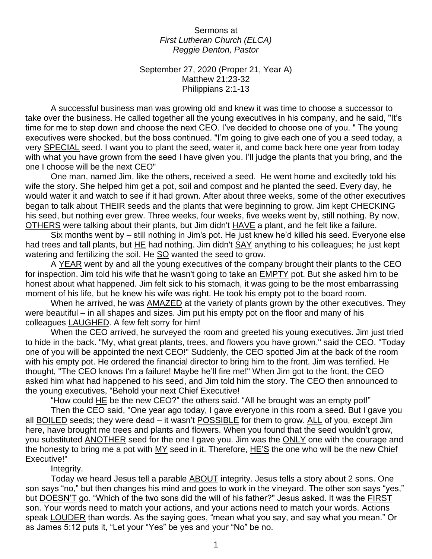Sermons at *First Lutheran Church (ELCA) Reggie Denton, Pastor*

September 27, 2020 (Proper 21, Year A) Matthew 21:23-32 Philippians 2:1-13

A successful business man was growing old and knew it was time to choose a successor to take over the business. He called together all the young executives in his company, and he said, "It's time for me to step down and choose the next CEO. I've decided to choose one of you. " The young executives were shocked, but the boss continued. "I'm going to give each one of you a seed today, a very SPECIAL seed. I want you to plant the seed, water it, and come back here one year from today with what you have grown from the seed I have given you. I'll judge the plants that you bring, and the one I choose will be the next CEO"

One man, named Jim, like the others, received a seed. He went home and excitedly told his wife the story. She helped him get a pot, soil and compost and he planted the seed. Every day, he would water it and watch to see if it had grown. After about three weeks, some of the other executives began to talk about THEIR seeds and the plants that were beginning to grow. Jim kept CHECKING his seed, but nothing ever grew. Three weeks, four weeks, five weeks went by, still nothing. By now, OTHERS were talking about their plants, but Jim didn't HAVE a plant, and he felt like a failure.

Six months went by – still nothing in Jim's pot. He just knew he'd killed his seed. Everyone else had trees and tall plants, but HE had nothing. Jim didn't SAY anything to his colleagues; he just kept watering and fertilizing the soil. He SO wanted the seed to grow.

A YEAR went by and all the young executives of the company brought their plants to the CEO for inspection. Jim told his wife that he wasn't going to take an **EMPTY** pot. But she asked him to be honest about what happened. Jim felt sick to his stomach, it was going to be the most embarrassing moment of his life, but he knew his wife was right. He took his empty pot to the board room.

When he arrived, he was AMAZED at the variety of plants grown by the other executives. They were beautiful – in all shapes and sizes. Jim put his empty pot on the floor and many of his colleagues LAUGHED. A few felt sorry for him!

When the CEO arrived, he surveyed the room and greeted his young executives. Jim just tried to hide in the back. "My, what great plants, trees, and flowers you have grown," said the CEO. "Today one of you will be appointed the next CEO!" Suddenly, the CEO spotted Jim at the back of the room with his empty pot. He ordered the financial director to bring him to the front. Jim was terrified. He thought, "The CEO knows I'm a failure! Maybe he'll fire me!" When Jim got to the front, the CEO asked him what had happened to his seed, and Jim told him the story. The CEO then announced to the young executives, "Behold your next Chief Executive!

"How could HE be the new CEO?" the others said. "All he brought was an empty pot!"

Then the CEO said, "One year ago today, I gave everyone in this room a seed. But I gave you all BOILED seeds; they were dead – it wasn't POSSIBLE for them to grow. ALL of you, except Jim here, have brought me trees and plants and flowers. When you found that the seed wouldn't grow, you substituted ANOTHER seed for the one I gave you. Jim was the ONLY one with the courage and the honesty to bring me a pot with MY seed in it. Therefore, HE'S the one who will be the new Chief Executive!"

Integrity.

Today we heard Jesus tell a parable ABOUT integrity. Jesus tells a story about 2 sons. One son says "no," but then changes his mind and goes to work in the vineyard. The other son says "yes," but DOESN'T go. "Which of the two sons did the will of his father?" Jesus asked. It was the FIRST son. Your words need to match your actions, and your actions need to match your words. Actions speak LOUDER than words. As the saying goes, "mean what you say, and say what you mean." Or as James 5:12 puts it, "Let your "Yes" be yes and your "No" be no.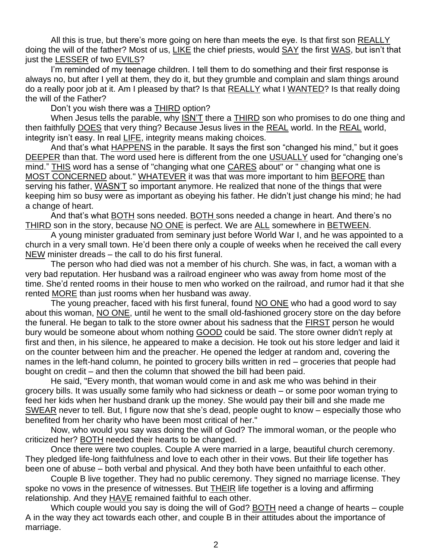All this is true, but there's more going on here than meets the eye. Is that first son REALLY doing the will of the father? Most of us, LIKE the chief priests, would SAY the first WAS, but isn't that just the **LESSER** of two EVILS?

I'm reminded of my teenage children. I tell them to do something and their first response is always no, but after I yell at them, they do it, but they grumble and complain and slam things around do a really poor job at it. Am I pleased by that? Is that REALLY what I WANTED? Is that really doing the will of the Father?

Don't you wish there was a THIRD option?

When Jesus tells the parable, why ISN'T there a THIRD son who promises to do one thing and then faithfully DOES that very thing? Because Jesus lives in the REAL world. In the REAL world, integrity isn't easy. In real LIFE, integrity means making choices.

And that's what **HAPPENS** in the parable. It says the first son "changed his mind," but it goes DEEPER than that. The word used here is different from the one USUALLY used for "changing one's mind." THIS word has a sense of "changing what one CARES about" or " changing what one is MOST CONCERNED about." WHATEVER it was that was more important to him BEFORE than serving his father, WASN'T so important anymore. He realized that none of the things that were keeping him so busy were as important as obeying his father. He didn't just change his mind; he had a change of heart.

And that's what BOTH sons needed. BOTH sons needed a change in heart. And there's no THIRD son in the story, because NO ONE is perfect. We are ALL somewhere in BETWEEN.

A young minister graduated from seminary just before World War I, and he was appointed to a church in a very small town. He'd been there only a couple of weeks when he received the call every NEW minister dreads – the call to do his first funeral.

The person who had died was not a member of his church. She was, in fact, a woman with a very bad reputation. Her husband was a railroad engineer who was away from home most of the time. She'd rented rooms in their house to men who worked on the railroad, and rumor had it that she rented MORE than just rooms when her husband was away.

The young preacher, faced with his first funeral, found NO ONE who had a good word to say about this woman, NO ONE, until he went to the small old-fashioned grocery store on the day before the funeral. He began to talk to the store owner about his sadness that the FIRST person he would bury would be someone about whom nothing GOOD could be said. The store owner didn't reply at first and then, in his silence, he appeared to make a decision. He took out his store ledger and laid it on the counter between him and the preacher. He opened the ledger at random and, covering the names in the left-hand column, he pointed to grocery bills written in red – groceries that people had bought on credit – and then the column that showed the bill had been paid.

He said, "Every month, that woman would come in and ask me who was behind in their grocery bills. It was usually some family who had sickness or death – or some poor woman trying to feed her kids when her husband drank up the money. She would pay their bill and she made me SWEAR never to tell. But, I figure now that she's dead, people ought to know – especially those who benefited from her charity who have been most critical of her."

Now, who would you say was doing the will of God? The immoral woman, or the people who criticized her? BOTH needed their hearts to be changed.

Once there were two couples. Couple A were married in a large, beautiful church ceremony. They pledged life-long faithfulness and love to each other in their vows. But their life together has been one of abuse – both verbal and physical. And they both have been unfaithful to each other.

Couple B live together. They had no public ceremony. They signed no marriage license. They spoke no vows in the presence of witnesses. But **THEIR** life together is a loving and affirming relationship. And they HAVE remained faithful to each other.

Which couple would you say is doing the will of God? BOTH need a change of hearts – couple A in the way they act towards each other, and couple B in their attitudes about the importance of marriage.